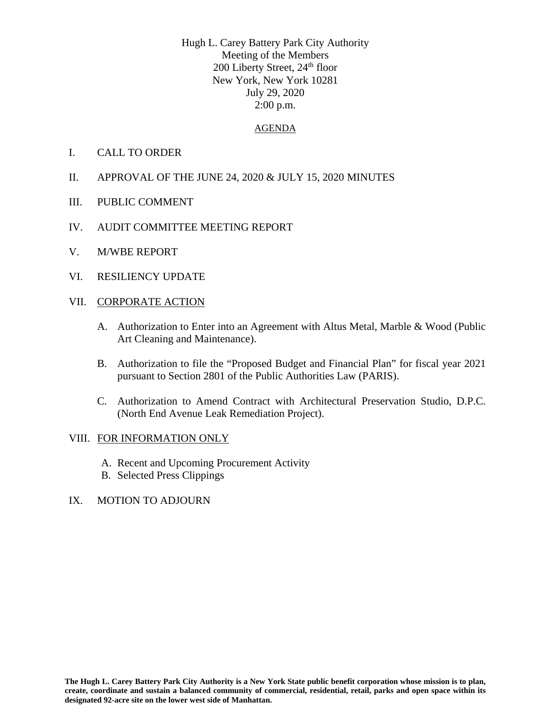Hugh L. Carey Battery Park City Authority Meeting of the Members 200 Liberty Street, 24<sup>th</sup> floor New York, New York 10281 July 29, 2020 2:00 p.m.

#### AGENDA

- I. CALL TO ORDER
- II. APPROVAL OF THE JUNE 24, 2020 & JULY 15, 2020 MINUTES
- III. PUBLIC COMMENT
- IV. AUDIT COMMITTEE MEETING REPORT
- V. M/WBE REPORT
- VI. RESILIENCY UPDATE

### VII. CORPORATE ACTION

- A. Authorization to Enter into an Agreement with Altus Metal, Marble & Wood (Public Art Cleaning and Maintenance).
- B. Authorization to file the "Proposed Budget and Financial Plan" for fiscal year 2021 pursuant to Section 2801 of the Public Authorities Law (PARIS).
- C. Authorization to Amend Contract with Architectural Preservation Studio, D.P.C. (North End Avenue Leak Remediation Project).

#### VIII. FOR INFORMATION ONLY

- A. Recent and Upcoming Procurement Activity
- B. Selected Press Clippings

### IX. MOTION TO ADJOURN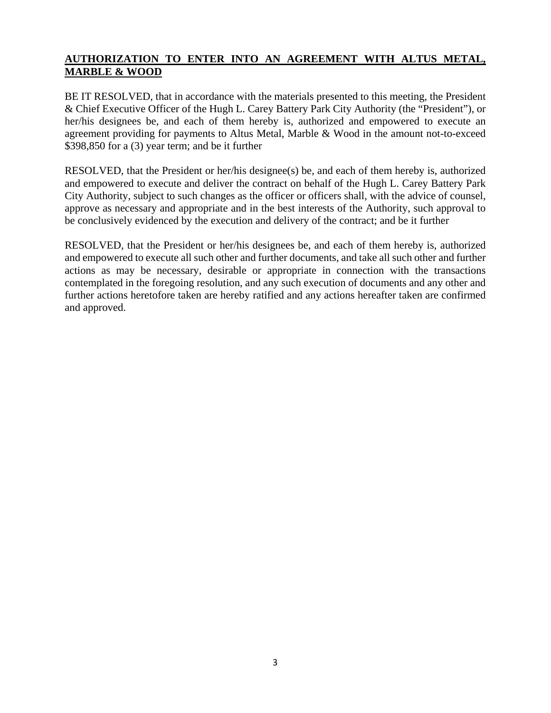# **AUTHORIZATION TO ENTER INTO AN AGREEMENT WITH ALTUS METAL, MARBLE & WOOD**

BE IT RESOLVED, that in accordance with the materials presented to this meeting, the President & Chief Executive Officer of the Hugh L. Carey Battery Park City Authority (the "President"), or her/his designees be, and each of them hereby is, authorized and empowered to execute an agreement providing for payments to Altus Metal, Marble & Wood in the amount not-to-exceed \$398,850 for a (3) year term; and be it further

RESOLVED, that the President or her/his designee(s) be, and each of them hereby is, authorized and empowered to execute and deliver the contract on behalf of the Hugh L. Carey Battery Park City Authority, subject to such changes as the officer or officers shall, with the advice of counsel, approve as necessary and appropriate and in the best interests of the Authority, such approval to be conclusively evidenced by the execution and delivery of the contract; and be it further

RESOLVED, that the President or her/his designees be, and each of them hereby is, authorized and empowered to execute all such other and further documents, and take all such other and further actions as may be necessary, desirable or appropriate in connection with the transactions contemplated in the foregoing resolution, and any such execution of documents and any other and further actions heretofore taken are hereby ratified and any actions hereafter taken are confirmed and approved.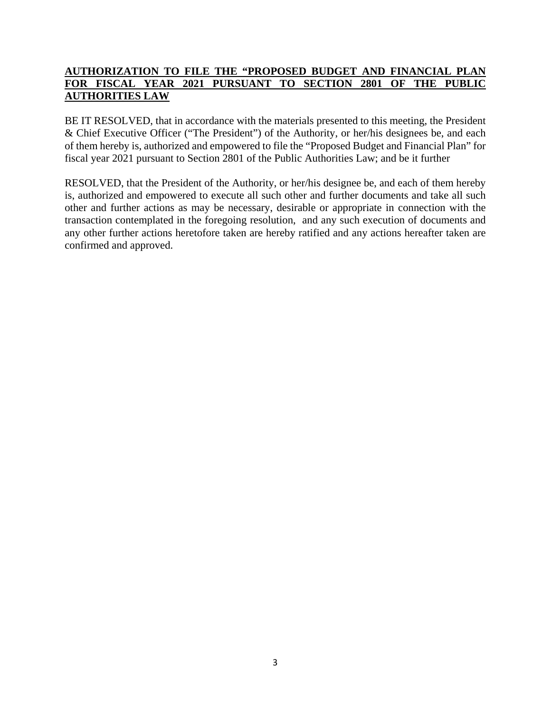# **AUTHORIZATION TO FILE THE "PROPOSED BUDGET AND FINANCIAL PLAN FOR FISCAL YEAR 2021 PURSUANT TO SECTION 2801 OF THE PUBLIC AUTHORITIES LAW**

BE IT RESOLVED, that in accordance with the materials presented to this meeting, the President & Chief Executive Officer ("The President") of the Authority, or her/his designees be, and each of them hereby is, authorized and empowered to file the "Proposed Budget and Financial Plan" for fiscal year 2021 pursuant to Section 2801 of the Public Authorities Law; and be it further

RESOLVED, that the President of the Authority, or her/his designee be, and each of them hereby is, authorized and empowered to execute all such other and further documents and take all such other and further actions as may be necessary, desirable or appropriate in connection with the transaction contemplated in the foregoing resolution, and any such execution of documents and any other further actions heretofore taken are hereby ratified and any actions hereafter taken are confirmed and approved.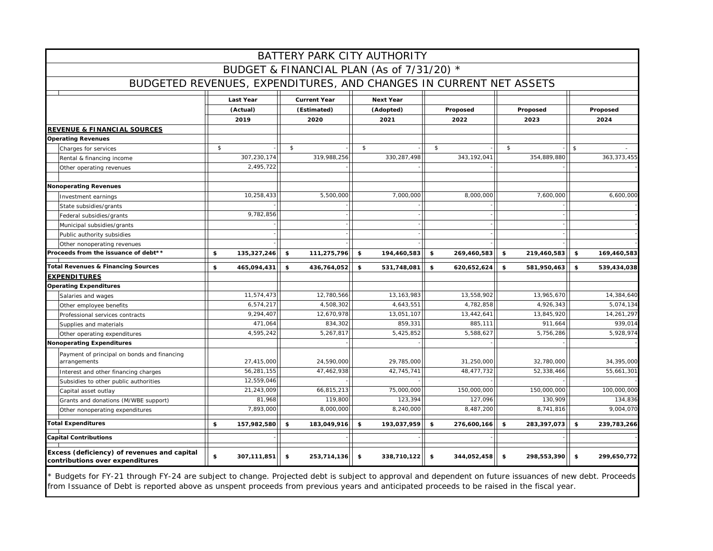| BATTERY PARK CITY AUTHORITY                                                    |                   |                     |                   |                   |                   |                    |
|--------------------------------------------------------------------------------|-------------------|---------------------|-------------------|-------------------|-------------------|--------------------|
| BUDGET & FINANCIAL PLAN (As of 7/31/20) *                                      |                   |                     |                   |                   |                   |                    |
| BUDGETED REVENUES, EXPENDITURES, AND CHANGES IN CURRENT NET ASSETS             |                   |                     |                   |                   |                   |                    |
|                                                                                | <b>Last Year</b>  | <b>Current Year</b> | <b>Next Year</b>  |                   |                   |                    |
|                                                                                | (Actual)          | (Estimated)         | (Adopted)         | Proposed          | Proposed          | Proposed           |
|                                                                                | 2019              | 2020                | 2021              | 2022              | 2023              | 2024               |
| <b>REVENUE &amp; FINANCIAL SOURCES</b>                                         |                   |                     |                   |                   |                   |                    |
| <b>Operating Revenues</b>                                                      |                   |                     |                   |                   |                   |                    |
| Charges for services                                                           | \$                | \$                  | \$                | \$                | \$                | $\mathbf{\hat{s}}$ |
| Rental & financing income                                                      | 307,230,174       | 319,988,256         | 330,287,498       | 343,192,041       | 354,889,880       | 363, 373, 455      |
| Other operating revenues                                                       | 2,495,722         |                     |                   |                   |                   |                    |
| <b>Nonoperating Revenues</b>                                                   |                   |                     |                   |                   |                   |                    |
| Investment earnings                                                            | 10,258,433        | 5,500,000           | 7,000,000         | 8,000,000         | 7,600,000         | 6,600,000          |
| State subsidies/grants                                                         |                   |                     |                   |                   |                   |                    |
| Federal subsidies/grants                                                       | 9,782,856         |                     |                   |                   |                   |                    |
| Municipal subsidies/grants                                                     |                   |                     |                   |                   |                   |                    |
| Public authority subsidies                                                     |                   |                     |                   |                   |                   |                    |
| Other nonoperating revenues                                                    |                   |                     |                   |                   |                   |                    |
| Proceeds from the issuance of debt**                                           | \$<br>135,327,246 | \$<br>111,275,796   | \$<br>194.460.583 | \$<br>269.460.583 | \$<br>219,460.583 | 169.460.583<br>\$  |
| <b>Total Revenues &amp; Financing Sources</b>                                  | \$<br>465,094,431 | \$<br>436,764,052   | \$<br>531,748,081 | 620,652,624<br>\$ | \$<br>581,950,463 | \$<br>539,434,038  |
| <b>EXPENDITURES</b>                                                            |                   |                     |                   |                   |                   |                    |
| <b>Operating Expenditures</b>                                                  |                   |                     |                   |                   |                   |                    |
| Salaries and wages                                                             | 11,574,473        | 12,780,566          | 13, 163, 983      | 13,558,902        | 13,965,670        | 14,384,640         |
| Other employee benefits                                                        | 6,574,217         | 4,508,302           | 4,643,551         | 4,782,858         | 4,926,343         | 5,074,134          |
| Professional services contracts                                                | 9,294,407         | 12,670,978          | 13,051,107        | 13,442,641        | 13,845,920        | 14,261,297         |
| Supplies and materials                                                         | 471,064           | 834,302             | 859,331           | 885.111           | 911,664           | 939.014            |
| Other operating expenditures                                                   | 4,595,242         | 5,267,817           | 5,425,852         | 5,588,627         | 5,756,286         | 5,928,974          |
| <b>Nonoperating Expenditures</b>                                               |                   |                     |                   |                   |                   |                    |
| Payment of principal on bonds and financing<br>arrangements                    | 27,415,000        | 24,590,000          | 29,785,000        | 31,250,000        | 32,780,000        | 34,395,000         |
| Interest and other financing charges                                           | 56,281,155        | 47,462,938          | 42,745,741        | 48,477,732        | 52,338,466        | 55,661,301         |
| Subsidies to other public authorities                                          | 12,559,046        |                     |                   |                   |                   |                    |
| Capital asset outlay                                                           | 21,243,009        | 66,815,213          | 75,000,000        | 150,000,000       | 150,000,000       | 100,000,000        |
| Grants and donations (M/WBE support)                                           | 81,968            | 119,800             | 123,394           | 127,096           | 130,909           | 134,836            |
| Other nonoperating expenditures                                                | 7,893,000         | 8,000,000           | 8,240,000         | 8,487,200         | 8,741,816         | 9,004,070          |
| <b>Total Expenditures</b>                                                      | \$<br>157,982,580 | \$<br>183,049,916   | \$<br>193,037,959 | \$<br>276.600.166 | \$<br>283,397,073 | \$<br>239,783,266  |
| <b>Capital Contributions</b>                                                   |                   |                     |                   |                   |                   |                    |
| Excess (deficiency) of revenues and capital<br>contributions over expenditures | \$<br>307,111,851 | 253,714,136<br>\$   | 338,710,122<br>\$ | 344,052,458<br>\$ | 298,553,390<br>\$ | 299,650,772<br>\$  |

Budgets for FY-21 through FY-24 are subject to change. Projected debt is subject to approval and dependent on future issuances of new debt. Proceeds from Issuance of Debt is reported above as unspent proceeds from previous years and anticipated proceeds to be raised in the fiscal year.